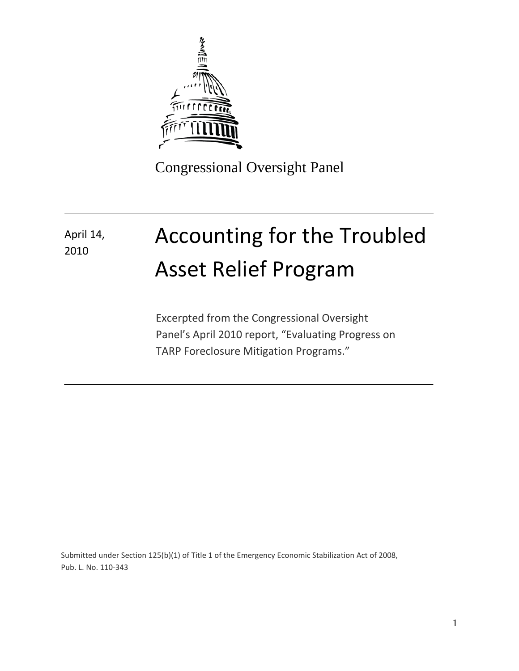

Congressional Oversight Panel

# Accounting for the Troubled Asset Relief Program April 14, 2010

Excerpted from the Congressional Oversight Panel's April 2010 report, "Evaluating Progress on TARP Foreclosure Mitigation Programs."

Submitted under Section 125(b)(1) of Title 1 of the Emergency Economic Stabilization Act of 2008, Pub. L. No. 110-343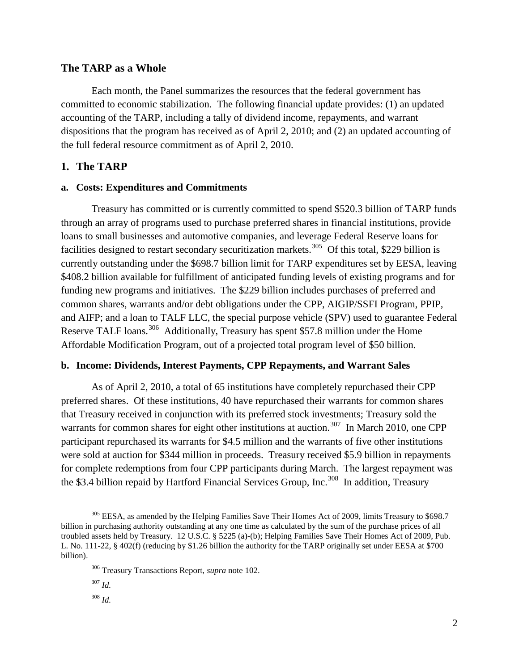### **The TARP as a Whole**

Each month, the Panel summarizes the resources that the federal government has committed to economic stabilization. The following financial update provides: (1) an updated accounting of the TARP, including a tally of dividend income, repayments, and warrant dispositions that the program has received as of April 2, 2010; and (2) an updated accounting of the full federal resource commitment as of April 2, 2010.

### **1. The TARP**

### **a. Costs: Expenditures and Commitments**

Treasury has committed or is currently committed to spend \$520.3 billion of TARP funds through an array of programs used to purchase preferred shares in financial institutions, provide loans to small businesses and automotive companies, and leverage Federal Reserve loans for facilities designed to restart secondary securitization markets.<sup>[305](#page-1-0)</sup> Of this total, \$229 billion is currently outstanding under the \$698.7 billion limit for TARP expenditures set by EESA, leaving \$408.2 billion available for fulfillment of anticipated funding levels of existing programs and for funding new programs and initiatives. The \$229 billion includes purchases of preferred and common shares, warrants and/or debt obligations under the CPP, AIGIP/SSFI Program, PPIP, and AIFP; and a loan to TALF LLC, the special purpose vehicle (SPV) used to guarantee Federal Reserve TALF loans.<sup>[306](#page-1-1)</sup> Additionally, Treasury has spent \$57.8 million under the Home Affordable Modification Program, out of a projected total program level of \$50 billion.

### **b. Income: Dividends, Interest Payments, CPP Repayments, and Warrant Sales**

As of April 2, 2010, a total of 65 institutions have completely repurchased their CPP preferred shares. Of these institutions, 40 have repurchased their warrants for common shares that Treasury received in conjunction with its preferred stock investments; Treasury sold the warrants for common shares for eight other institutions at auction.<sup>[307](#page-1-2)</sup> In March 2010, one CPP participant repurchased its warrants for \$4.5 million and the warrants of five other institutions were sold at auction for \$344 million in proceeds. Treasury received \$5.9 billion in repayments for complete redemptions from four CPP participants during March. The largest repayment was the \$3.4 billion repaid by Hartford Financial Services Group, Inc.<sup>[308](#page-1-3)</sup> In addition, Treasury

 $\overline{\phantom{0}}$ 

<span id="page-1-1"></span><span id="page-1-0"></span><sup>&</sup>lt;sup>305</sup> EESA, as amended by the Helping Families Save Their Homes Act of 2009, limits Treasury to \$698.7 billion in purchasing authority outstanding at any one time as calculated by the sum of the purchase prices of all troubled assets held by Treasury. 12 U.S.C. § 5225 (a)-(b); Helping Families Save Their Homes Act of 2009, Pub. L. No. 111-22, § 402(f) (reducing by \$1.26 billion the authority for the TARP originally set under EESA at \$700 billion).

<sup>306</sup> Treasury Transactions Report, *supra* note 102.

<span id="page-1-2"></span><sup>307</sup> *Id.*

<span id="page-1-3"></span><sup>308</sup> *Id.*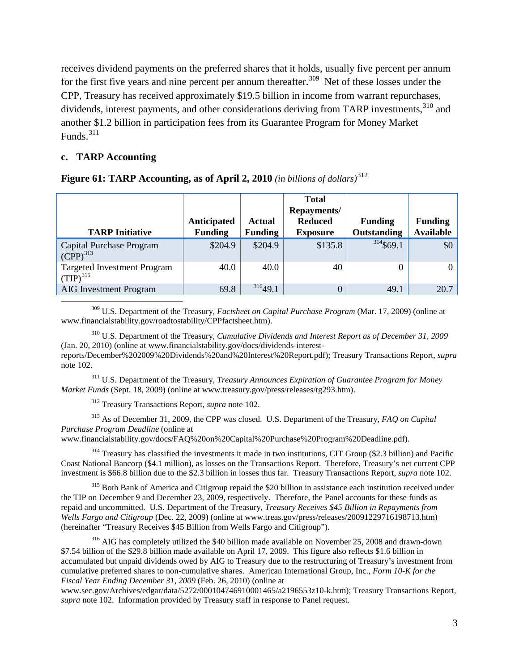receives dividend payments on the preferred shares that it holds, usually five percent per annum for the first five years and nine percent per annum thereafter.<sup>309</sup> Net of these losses under the CPP, Treasury has received approximately \$19.5 billion in income from warrant repurchases, dividends, interest payments, and other considerations deriving from TARP investments, [310](#page-2-1) and another \$1.2 billion in participation fees from its Guarantee Program for Money Market Funds. $311$ 

### **c. TARP Accounting**

| <b>TARP Initiative</b>                              | Anticipated<br><b>Funding</b> | Actual<br><b>Funding</b> | <b>Total</b><br>Repayments/<br><b>Reduced</b><br><b>Exposure</b> | <b>Funding</b><br>Outstanding | <b>Funding</b><br><b>Available</b> |
|-----------------------------------------------------|-------------------------------|--------------------------|------------------------------------------------------------------|-------------------------------|------------------------------------|
| Capital Purchase Program<br>$(CPP)^{313}$           | \$204.9                       | \$204.9                  | \$135.8                                                          | $314$ \$69.1                  | \$0                                |
| <b>Targeted Investment Program</b><br>$(TIP)^{315}$ | 40.0                          | 40.0                     | 40                                                               | 0                             | $\overline{0}$                     |
| <b>AIG</b> Investment Program                       | 69.8                          | 31649.1                  | 0                                                                | 49.1                          | 20.7                               |

**Figure 61: TARP Accounting, as of April 2, 2010** *(in billions of dollars)*[312](#page-2-3)

<span id="page-2-0"></span><sup>309</sup> U.S. Department of the Treasury, *Factsheet on Capital Purchase Program* (Mar. 17, 2009) (online at www.financialstability.gov/roadtostability/CPPfactsheet.htm).

<span id="page-2-1"></span><sup>310</sup> U.S. Department of the Treasury, *Cumulative Dividends and Interest Report as of December 31, 2009*  (Jan. 20, 2010) (online at www.financialstability.gov/docs/dividends-interestreports/December%202009%20Dividends%20and%20Interest%20Report.pdf); Treasury Transactions Report, *supra* note 102.

<span id="page-2-2"></span><sup>311</sup> U.S. Department of the Treasury, *Treasury Announces Expiration of Guarantee Program for Money Market Funds* (Sept. 18, 2009) (online at www.treasury.gov/press/releases/tg293.htm).

<sup>312</sup> Treasury Transactions Report, *supra* note 102.

<span id="page-2-4"></span><span id="page-2-3"></span><sup>313</sup> As of December 31, 2009, the CPP was closed. U.S. Department of the Treasury, *FAQ on Capital Purchase Program Deadline* (online at

www.financialstability.gov/docs/FAQ%20on%20Capital%20Purchase%20Program%20Deadline.pdf).

<span id="page-2-5"></span><sup>314</sup> Treasury has classified the investments it made in two institutions, CIT Group (\$2.3 billion) and Pacific Coast National Bancorp (\$4.1 million), as losses on the Transactions Report. Therefore, Treasury's net current CPP investment is \$66.8 billion due to the \$2.3 billion in losses thus far. Treasury Transactions Report, *supra* note 102.

<span id="page-2-6"></span><sup>315</sup> Both Bank of America and Citigroup repaid the \$20 billion in assistance each institution received under the TIP on December 9 and December 23, 2009, respectively. Therefore, the Panel accounts for these funds as repaid and uncommitted. U.S. Department of the Treasury, *Treasury Receives \$45 Billion in Repayments from Wells Fargo and Citigroup* (Dec. 22, 2009) (online at www.treas.gov/press/releases/20091229716198713.htm) (hereinafter "Treasury Receives \$45 Billion from Wells Fargo and Citigroup").

<span id="page-2-7"></span><sup>316</sup> AIG has completely utilized the \$40 billion made available on November 25, 2008 and drawn-down \$7.54 billion of the \$29.8 billion made available on April 17, 2009. This figure also reflects \$1.6 billion in accumulated but unpaid dividends owed by AIG to Treasury due to the restructuring of Treasury's investment from cumulative preferred shares to non-cumulative shares. American International Group, Inc., *Form 10-K for the Fiscal Year Ending December 31, 2009* (Feb. 26, 2010) (online at

www.sec.gov/Archives/edgar/data/5272/000104746910001465/a2196553z10-k.htm); Treasury Transactions Report, *supra* note 102. Information provided by Treasury staff in response to Panel request.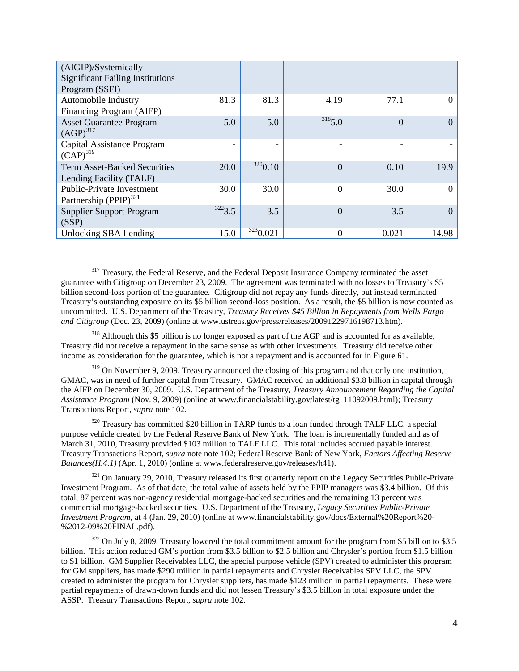| (AIGIP)/Systemically                                           |        |          |                |                |       |
|----------------------------------------------------------------|--------|----------|----------------|----------------|-------|
| <b>Significant Failing Institutions</b>                        |        |          |                |                |       |
| Program (SSFI)                                                 |        |          |                |                |       |
| Automobile Industry                                            | 81.3   | 81.3     | 4.19           | 77.1           | 0     |
| Financing Program (AIFP)                                       |        |          |                |                |       |
| <b>Asset Guarantee Program</b><br>$(AGP)^{317}$                | 5.0    | 5.0      | 3185.0         | $\overline{0}$ | 0     |
| Capital Assistance Program<br>$(CAP)^{319}$                    |        |          |                |                |       |
| <b>Term Asset-Backed Securities</b><br>Lending Facility (TALF) | 20.0   | 3200.10  | $\Omega$       | 0.10           | 19.9  |
| <b>Public-Private Investment</b><br>Partnership $(PPIP)^{321}$ | 30.0   | 30.0     | $\overline{0}$ | 30.0           | 0     |
| <b>Supplier Support Program</b><br>(SSP)                       | 3223.5 | 3.5      | $\Omega$       | 3.5            | 0     |
| Unlocking SBA Lending                                          | 15.0   | 3230.021 | $\theta$       | 0.021          | 14.98 |

<span id="page-3-0"></span><sup>317</sup> Treasury, the Federal Reserve, and the Federal Deposit Insurance Company terminated the asset guarantee with Citigroup on December 23, 2009. The agreement was terminated with no losses to Treasury's \$5 billion second-loss portion of the guarantee. Citigroup did not repay any funds directly, but instead terminated Treasury's outstanding exposure on its \$5 billion second-loss position. As a result, the \$5 billion is now counted as uncommitted. U.S. Department of the Treasury, *Treasury Receives \$45 Billion in Repayments from Wells Fargo and Citigroup* (Dec. 23, 2009) (online at www.ustreas.gov/press/releases/20091229716198713.htm).

 $\overline{\phantom{0}}$ 

<span id="page-3-6"></span><span id="page-3-1"></span><sup>318</sup> Although this \$5 billion is no longer exposed as part of the AGP and is accounted for as available, Treasury did not receive a repayment in the same sense as with other investments. Treasury did receive other income as consideration for the guarantee, which is not a repayment and is accounted for in Figure 61.

<span id="page-3-2"></span><sup>319</sup> On November 9, 2009, Treasury announced the closing of this program and that only one institution, GMAC, was in need of further capital from Treasury. GMAC received an additional \$3.8 billion in capital through the AIFP on December 30, 2009. U.S. Department of the Treasury, *Treasury Announcement Regarding the Capital Assistance Program* (Nov. 9, 2009) (online at www.financialstability.gov/latest/tg\_11092009.html); Treasury Transactions Report, *supra* note 102.

<span id="page-3-3"></span><sup>320</sup> Treasury has committed \$20 billion in TARP funds to a loan funded through TALF LLC, a special purpose vehicle created by the Federal Reserve Bank of New York. The loan is incrementally funded and as of March 31, 2010, Treasury provided \$103 million to TALF LLC. This total includes accrued payable interest. Treasury Transactions Report, *supra* note note 102; Federal Reserve Bank of New York, *Factors Affecting Reserve Balances(H.4.1)* (Apr. 1, 2010) (online at www.federalreserve.gov/releases/h41).

<span id="page-3-4"></span> $321$  On January 29, 2010, Treasury released its first quarterly report on the Legacy Securities Public-Private Investment Program. As of that date, the total value of assets held by the PPIP managers was \$3.4 billion. Of this total, 87 percent was non-agency residential mortgage-backed securities and the remaining 13 percent was commercial mortgage-backed securities. U.S. Department of the Treasury, *Legacy Securities Public-Private Investment Program*, at 4 (Jan. 29, 2010) (online at www.financialstability.gov/docs/External%20Report%20-%2012-09%20FINAL.pdf).

<span id="page-3-5"></span> $322$  On July 8, 2009, Treasury lowered the total commitment amount for the program from \$5 billion to \$3.5 billion. This action reduced GM's portion from \$3.5 billion to \$2.5 billion and Chrysler's portion from \$1.5 billion to \$1 billion. GM Supplier Receivables LLC, the special purpose vehicle (SPV) created to administer this program for GM suppliers, has made \$290 million in partial repayments and Chrysler Receivables SPV LLC, the SPV created to administer the program for Chrysler suppliers, has made \$123 million in partial repayments. These were partial repayments of drawn-down funds and did not lessen Treasury's \$3.5 billion in total exposure under the ASSP. Treasury Transactions Report, *supra* note 102.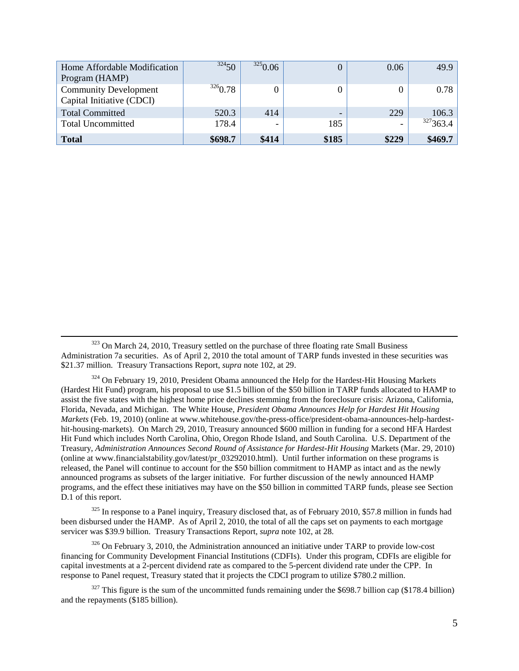| Home Affordable Modification | 32450   | 3250.06 |                          | 0.06  | 49.9     |
|------------------------------|---------|---------|--------------------------|-------|----------|
| Program (HAMP)               |         |         |                          |       |          |
| <b>Community Development</b> | 3260.78 |         |                          |       | 0.78     |
| Capital Initiative (CDCI)    |         |         |                          |       |          |
| <b>Total Committed</b>       | 520.3   | 414     | $\overline{\phantom{a}}$ | 229   | 106.3    |
| <b>Total Uncommitted</b>     | 178.4   |         | 185                      |       | 327363.4 |
| <b>Total</b>                 | \$698.7 | \$414   | \$185                    | \$229 | \$469.7  |

<sup>323</sup> On March 24, 2010, Treasury settled on the purchase of three floating rate Small Business Administration 7a securities. As of April 2, 2010 the total amount of TARP funds invested in these securities was \$21.37 million. Treasury Transactions Report, *supra* note 102, at 29.

l

<span id="page-4-0"></span> $324$  On February 19, 2010, President Obama announced the Help for the Hardest-Hit Housing Markets (Hardest Hit Fund) program, his proposal to use \$1.5 billion of the \$50 billion in TARP funds allocated to HAMP to assist the five states with the highest home price declines stemming from the foreclosure crisis: Arizona, California, Florida, Nevada, and Michigan. The White House, *President Obama Announces Help for Hardest Hit Housing Markets* (Feb. 19, 2010) (online at www.whitehouse.gov/the-press-office/president-obama-announces-help-hardesthit-housing-markets). On March 29, 2010, Treasury announced \$600 million in funding for a second HFA Hardest Hit Fund which includes North Carolina, Ohio, Oregon Rhode Island, and South Carolina. U.S. Department of the Treasury, *Administration Announces Second Round of Assistance for Hardest-Hit Housing* Markets (Mar. 29, 2010) (online at www.financialstability.gov/latest/pr\_03292010.html). Until further information on these programs is released, the Panel will continue to account for the \$50 billion commitment to HAMP as intact and as the newly announced programs as subsets of the larger initiative. For further discussion of the newly announced HAMP programs, and the effect these initiatives may have on the \$50 billion in committed TARP funds, please see Section D.1 of this report.

<span id="page-4-1"></span> $325$  In response to a Panel inquiry, Treasury disclosed that, as of February 2010, \$57.8 million in funds had been disbursed under the HAMP. As of April 2, 2010, the total of all the caps set on payments to each mortgage servicer was \$39.9 billion. Treasury Transactions Report, *supra* note 102, at 28.

<span id="page-4-2"></span> $326$  On February 3, 2010, the Administration announced an initiative under TARP to provide low-cost financing for Community Development Financial Institutions (CDFIs). Under this program, CDFIs are eligible for capital investments at a 2-percent dividend rate as compared to the 5-percent dividend rate under the CPP. In response to Panel request, Treasury stated that it projects the CDCI program to utilize \$780.2 million.

<span id="page-4-3"></span> $327$  This figure is the sum of the uncommitted funds remaining under the \$698.7 billion cap (\$178.4 billion) and the repayments (\$185 billion).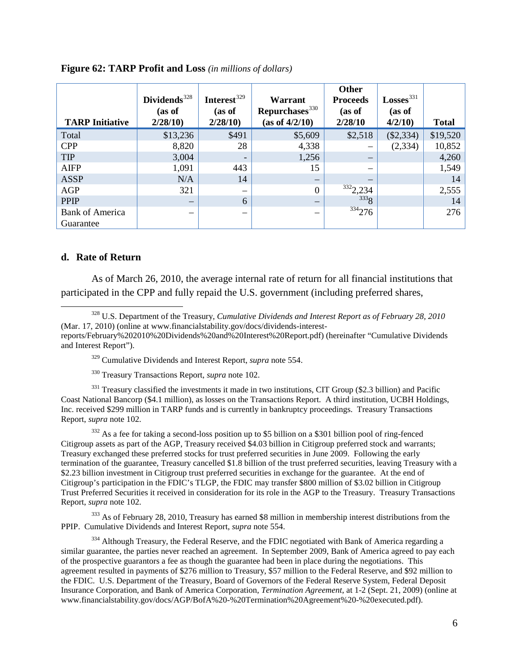| <b>TARP Initiative</b>              | Dividends <sup>328</sup><br>(as of<br>2/28/10 | Interest <sup>329</sup><br>(as of<br>2/28/10 | Warrant<br>Repurchases <sup>330</sup><br>(as of 4/2/10) | <b>Other</b><br><b>Proceeds</b><br>(as of<br>2/28/10 | Losses <sup>331</sup><br>(as of<br>4/2/10 | <b>Total</b> |
|-------------------------------------|-----------------------------------------------|----------------------------------------------|---------------------------------------------------------|------------------------------------------------------|-------------------------------------------|--------------|
| Total                               | \$13,236                                      | \$491                                        | \$5,609                                                 | \$2,518                                              | $(\$2,334)$                               | \$19,520     |
| <b>CPP</b>                          | 8,820                                         | 28                                           | 4,338                                                   |                                                      | (2, 334)                                  | 10,852       |
| <b>TIP</b>                          | 3,004                                         | $\overline{\phantom{a}}$                     | 1,256                                                   |                                                      |                                           | 4,260        |
| <b>AIFP</b>                         | 1,091                                         | 443                                          | 15                                                      |                                                      |                                           | 1,549        |
| <b>ASSP</b>                         | N/A                                           | 14                                           | $\overline{\phantom{m}}$                                |                                                      |                                           | 14           |
| AGP                                 | 321                                           | $\overline{\phantom{m}}$                     | $\theta$                                                | 3322,234                                             |                                           | 2,555        |
| <b>PPIP</b>                         | $\hspace{0.1mm}-\hspace{0.1mm}$               | 6                                            | —                                                       | 333g                                                 |                                           | 14           |
| <b>Bank of America</b><br>Guarantee |                                               | -                                            |                                                         | 334276                                               |                                           | 276          |

### **Figure 62: TARP Profit and Loss** *(in millions of dollars)*

#### **d. Rate of Return**

 $\overline{\phantom{0}}$ 

As of March 26, 2010, the average internal rate of return for all financial institutions that participated in the CPP and fully repaid the U.S. government (including preferred shares,

<span id="page-5-1"></span><sup>328</sup> U.S. Department of the Treasury, *Cumulative Dividends and Interest Report as of February 28, 2010*  (Mar. 17, 2010) (online at www.financialstability.gov/docs/dividends-interestreports/February%202010%20Dividends%20and%20Interest%20Report.pdf) (hereinafter "Cumulative Dividends and Interest Report").

<span id="page-5-0"></span><sup>329</sup> [Cumulative Dividends and Interest Report,](#page-5-0) *supra* note 554.

<sup>330</sup> Treasury Transactions Report, *supra* note 102.

<span id="page-5-4"></span><span id="page-5-3"></span><span id="page-5-2"></span><sup>331</sup> Treasury classified the investments it made in two institutions, CIT Group (\$2.3 billion) and Pacific Coast National Bancorp (\$4.1 million), as losses on the Transactions Report. A third institution, UCBH Holdings, Inc. received \$299 million in TARP funds and is currently in bankruptcy proceedings. Treasury Transactions Report, *supra* note 102.

<span id="page-5-5"></span><sup>332</sup> As a fee for taking a second-loss position up to \$5 billion on a \$301 billion pool of ring-fenced Citigroup assets as part of the AGP, Treasury received \$4.03 billion in Citigroup preferred stock and warrants; Treasury exchanged these preferred stocks for trust preferred securities in June 2009. Following the early termination of the guarantee, Treasury cancelled \$1.8 billion of the trust preferred securities, leaving Treasury with a \$2.23 billion investment in Citigroup trust preferred securities in exchange for the guarantee. At the end of Citigroup's participation in the FDIC's TLGP, the FDIC may transfer \$800 million of \$3.02 billion in Citigroup Trust Preferred Securities it received in consideration for its role in the AGP to the Treasury. Treasury Transactions Report, *supra* note 102.

<span id="page-5-6"></span><sup>333</sup> As of February 28, 2010, Treasury has earned \$8 million in membership interest distributions from the PPIP. [Cumulative Dividends and Interest Report,](#page-5-0) *supra* note 554.

<span id="page-5-7"></span><sup>334</sup> Although Treasury, the Federal Reserve, and the FDIC negotiated with Bank of America regarding a similar guarantee, the parties never reached an agreement. In September 2009, Bank of America agreed to pay each of the prospective guarantors a fee as though the guarantee had been in place during the negotiations. This agreement resulted in payments of \$276 million to Treasury, \$57 million to the Federal Reserve, and \$92 million to the FDIC. U.S. Department of the Treasury, Board of Governors of the Federal Reserve System, Federal Deposit Insurance Corporation, and Bank of America Corporation, *Termination Agreement*, at 1-2 (Sept. 21, 2009) (online at www.financialstability.gov/docs/AGP/BofA%20-%20Termination%20Agreement%20-%20executed.pdf).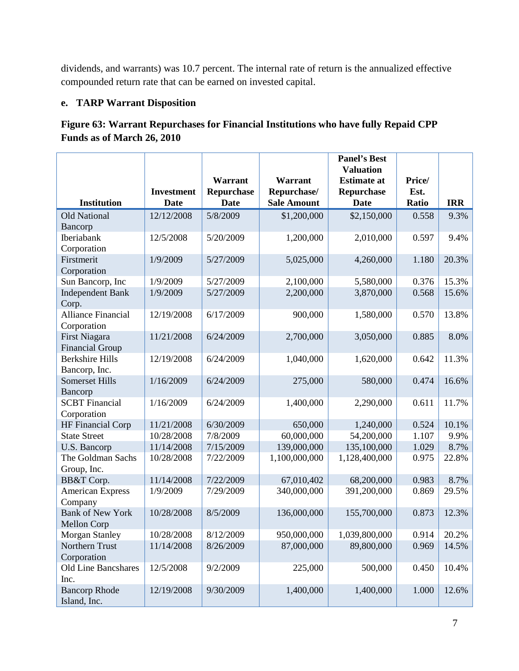dividends, and warrants) was 10.7 percent. The internal rate of return is the annualized effective compounded return rate that can be earned on invested capital.

# **e. TARP Warrant Disposition**

# **Figure 63: Warrant Repurchases for Financial Institutions who have fully Repaid CPP Funds as of March 26, 2010**

|                                   |                                  |                    |                                   | <b>Panel's Best</b><br><b>Valuation</b> |                |               |
|-----------------------------------|----------------------------------|--------------------|-----------------------------------|-----------------------------------------|----------------|---------------|
|                                   |                                  | Warrant            | Warrant                           | <b>Estimate at</b>                      | Price/         |               |
| <b>Institution</b>                | <b>Investment</b><br><b>Date</b> | Repurchase<br>Date | Repurchase/<br><b>Sale Amount</b> | Repurchase<br><b>Date</b>               | Est.<br>Ratio  | <b>IRR</b>    |
| <b>Old National</b>               | 12/12/2008                       | 5/8/2009           | \$1,200,000                       | \$2,150,000                             | 0.558          | 9.3%          |
| Bancorp                           |                                  |                    |                                   |                                         |                |               |
| <b>Iberiabank</b>                 | 12/5/2008                        | 5/20/2009          | 1,200,000                         | 2,010,000                               | 0.597          | 9.4%          |
| Corporation                       |                                  |                    |                                   |                                         |                |               |
| Firstmerit                        | 1/9/2009                         | 5/27/2009          | 5,025,000                         | 4,260,000                               | 1.180          | 20.3%         |
| Corporation                       |                                  |                    |                                   |                                         |                |               |
| Sun Bancorp, Inc                  | 1/9/2009                         | 5/27/2009          | 2,100,000                         | 5,580,000                               | 0.376          | 15.3%         |
| <b>Independent Bank</b>           | 1/9/2009                         | 5/27/2009          | 2,200,000                         | 3,870,000                               | 0.568          | 15.6%         |
| Corp.                             |                                  |                    |                                   |                                         |                |               |
| <b>Alliance Financial</b>         | 12/19/2008                       | 6/17/2009          | 900,000                           | 1,580,000                               | 0.570          | 13.8%         |
| Corporation                       |                                  |                    |                                   |                                         |                |               |
| <b>First Niagara</b>              | 11/21/2008                       | 6/24/2009          | 2,700,000                         | 3,050,000                               | 0.885          | 8.0%          |
| <b>Financial Group</b>            |                                  |                    |                                   |                                         |                |               |
| <b>Berkshire Hills</b>            | 12/19/2008                       | 6/24/2009          | 1,040,000                         | 1,620,000                               | 0.642          | 11.3%         |
| Bancorp, Inc.                     |                                  |                    |                                   |                                         |                |               |
| <b>Somerset Hills</b>             | 1/16/2009                        | 6/24/2009          | 275,000                           | 580,000                                 | 0.474          | 16.6%         |
| Bancorp                           |                                  |                    |                                   |                                         |                |               |
| <b>SCBT</b> Financial             | 1/16/2009                        | 6/24/2009          | 1,400,000                         | 2,290,000                               | 0.611          | 11.7%         |
| Corporation                       |                                  |                    |                                   |                                         |                |               |
| <b>HF Financial Corp</b>          | 11/21/2008                       | 6/30/2009          | 650,000                           | 1,240,000                               | 0.524          | 10.1%         |
| <b>State Street</b>               | 10/28/2008                       | 7/8/2009           | 60,000,000                        | 54,200,000                              | 1.107          | 9.9%          |
| U.S. Bancorp<br>The Goldman Sachs | 11/14/2008<br>10/28/2008         | 7/15/2009          | 139,000,000                       | 135,100,000                             | 1.029<br>0.975 | 8.7%<br>22.8% |
|                                   |                                  | 7/22/2009          | 1,100,000,000                     | 1,128,400,000                           |                |               |
| Group, Inc.<br>BB&T Corp.         | 11/14/2008                       | 7/22/2009          | 67,010,402                        | 68,200,000                              | 0.983          | 8.7%          |
| <b>American Express</b>           | 1/9/2009                         | 7/29/2009          | 340,000,000                       | 391,200,000                             | 0.869          | 29.5%         |
| Company                           |                                  |                    |                                   |                                         |                |               |
| <b>Bank of New York</b>           | 10/28/2008                       | 8/5/2009           | 136,000,000                       | 155,700,000                             | 0.873          | 12.3%         |
| Mellon Corp                       |                                  |                    |                                   |                                         |                |               |
| Morgan Stanley                    | 10/28/2008                       | 8/12/2009          | 950,000,000                       | 1,039,800,000                           | 0.914          | 20.2%         |
| Northern Trust                    | 11/14/2008                       | 8/26/2009          | 87,000,000                        | 89,800,000                              | 0.969          | 14.5%         |
| Corporation                       |                                  |                    |                                   |                                         |                |               |
| Old Line Bancshares               | 12/5/2008                        | 9/2/2009           | 225,000                           | 500,000                                 | 0.450          | 10.4%         |
| Inc.                              |                                  |                    |                                   |                                         |                |               |
| <b>Bancorp Rhode</b>              | 12/19/2008                       | 9/30/2009          | 1,400,000                         | 1,400,000                               | 1.000          | 12.6%         |
| Island, Inc.                      |                                  |                    |                                   |                                         |                |               |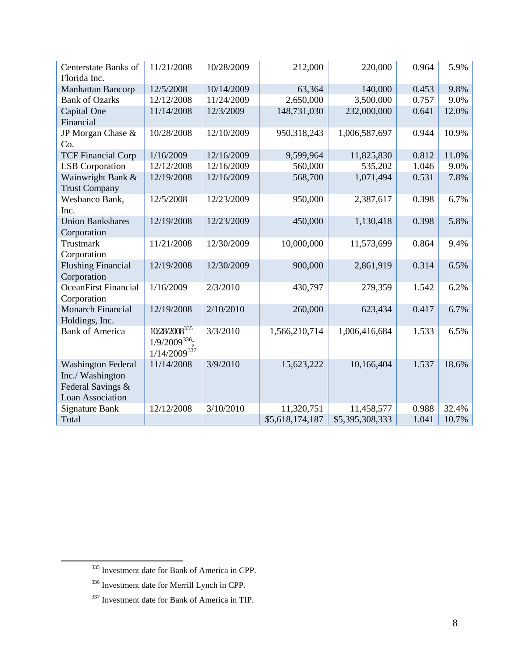| Centerstate Banks of        | 11/21/2008                | 10/28/2009 | 212,000         | 220,000         | 0.964 | 5.9%  |
|-----------------------------|---------------------------|------------|-----------------|-----------------|-------|-------|
| Florida Inc.                |                           |            |                 |                 |       |       |
| Manhattan Bancorp           | 12/5/2008                 | 10/14/2009 | 63,364          | 140,000         | 0.453 | 9.8%  |
| <b>Bank of Ozarks</b>       | 12/12/2008                | 11/24/2009 | 2,650,000       | 3,500,000       | 0.757 | 9.0%  |
| Capital One                 | 11/14/2008                | 12/3/2009  | 148,731,030     | 232,000,000     | 0.641 | 12.0% |
| Financial                   |                           |            |                 |                 |       |       |
| JP Morgan Chase &           | 10/28/2008                | 12/10/2009 | 950,318,243     | 1,006,587,697   | 0.944 | 10.9% |
| Co.                         |                           |            |                 |                 |       |       |
| <b>TCF Financial Corp</b>   | 1/16/2009                 | 12/16/2009 | 9,599,964       | 11,825,830      | 0.812 | 11.0% |
| <b>LSB</b> Corporation      | 12/12/2008                | 12/16/2009 | 560,000         | 535,202         | 1.046 | 9.0%  |
| Wainwright Bank &           | 12/19/2008                | 12/16/2009 | 568,700         | 1,071,494       | 0.531 | 7.8%  |
| <b>Trust Company</b>        |                           |            |                 |                 |       |       |
| Wesbanco Bank,              | 12/5/2008                 | 12/23/2009 | 950,000         | 2,387,617       | 0.398 | 6.7%  |
| Inc.                        |                           |            |                 |                 |       |       |
| <b>Union Bankshares</b>     | 12/19/2008                | 12/23/2009 | 450,000         | 1,130,418       | 0.398 | 5.8%  |
| Corporation                 |                           |            |                 |                 |       |       |
| Trustmark                   | 11/21/2008                | 12/30/2009 | 10,000,000      | 11,573,699      | 0.864 | 9.4%  |
| Corporation                 |                           |            |                 |                 |       |       |
| <b>Flushing Financial</b>   | 12/19/2008                | 12/30/2009 | 900,000         | 2,861,919       | 0.314 | 6.5%  |
| Corporation                 |                           |            |                 |                 |       |       |
| <b>OceanFirst Financial</b> | 1/16/2009                 | 2/3/2010   | 430,797         | 279,359         | 1.542 | 6.2%  |
| Corporation                 |                           |            |                 |                 |       |       |
| <b>Monarch Financial</b>    | 12/19/2008                | 2/10/2010  | 260,000         | 623,434         | 0.417 | 6.7%  |
| Holdings, Inc.              |                           |            |                 |                 |       |       |
| <b>Bank of America</b>      | 10/28/2008 <sup>335</sup> | 3/3/2010   | 1,566,210,714   | 1,006,416,684   | 1.533 | 6.5%  |
|                             | $1/9/2009^{336}$ ;        |            |                 |                 |       |       |
|                             | $1/14/2009^{337}$         |            |                 |                 |       |       |
| <b>Washington Federal</b>   | 11/14/2008                | 3/9/2010   | 15,623,222      | 10,166,404      | 1.537 | 18.6% |
| Inc./ Washington            |                           |            |                 |                 |       |       |
| Federal Savings &           |                           |            |                 |                 |       |       |
| <b>Loan Association</b>     |                           |            |                 |                 |       |       |
| <b>Signature Bank</b>       | 12/12/2008                | 3/10/2010  | 11,320,751      | 11,458,577      | 0.988 | 32.4% |
| Total                       |                           |            | \$5,618,174,187 | \$5,395,308,333 | 1.041 | 10.7% |

<span id="page-7-2"></span><span id="page-7-1"></span><span id="page-7-0"></span> $\overline{\phantom{0}}$ 

<sup>&</sup>lt;sup>335</sup> Investment date for Bank of America in CPP.

<sup>336</sup> Investment date for Merrill Lynch in CPP.

<sup>337</sup> Investment date for Bank of America in TIP.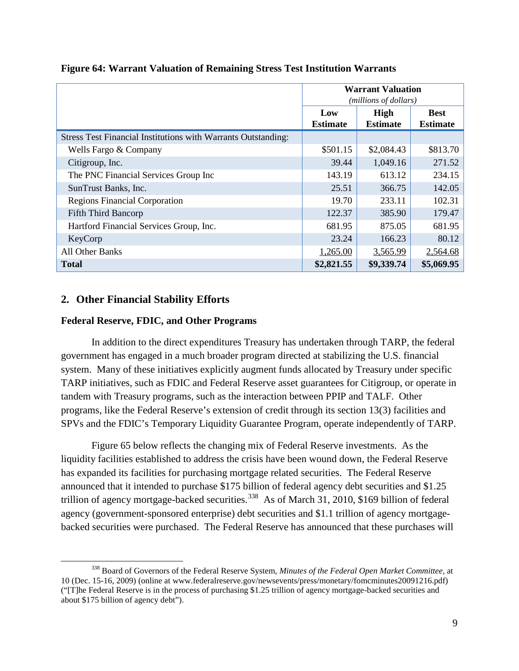|                                                               | <b>Warrant Valuation</b><br>(millions of dollars) |                         |                                |  |
|---------------------------------------------------------------|---------------------------------------------------|-------------------------|--------------------------------|--|
|                                                               | Low<br><b>Estimate</b>                            | High<br><b>Estimate</b> | <b>Best</b><br><b>Estimate</b> |  |
| Stress Test Financial Institutions with Warrants Outstanding: |                                                   |                         |                                |  |
| Wells Fargo & Company                                         | \$501.15                                          | \$2,084.43              | \$813.70                       |  |
| Citigroup, Inc.                                               | 39.44                                             | 1,049.16                | 271.52                         |  |
| The PNC Financial Services Group Inc                          | 143.19                                            | 613.12                  | 234.15                         |  |
| SunTrust Banks, Inc.                                          | 25.51                                             | 366.75                  | 142.05                         |  |
| <b>Regions Financial Corporation</b>                          | 19.70                                             | 233.11                  | 102.31                         |  |
| <b>Fifth Third Bancorp</b>                                    | 122.37                                            | 385.90                  | 179.47                         |  |
| Hartford Financial Services Group, Inc.                       | 681.95                                            | 875.05                  | 681.95                         |  |
| KeyCorp                                                       | 23.24                                             | 166.23                  | 80.12                          |  |
| <b>All Other Banks</b>                                        | 1,265.00                                          | 3,565.99                | 2,564.68                       |  |
| <b>Total</b>                                                  | \$2,821.55                                        | \$9,339.74              | \$5,069.95                     |  |

## **Figure 64: Warrant Valuation of Remaining Stress Test Institution Warrants**

# **2. Other Financial Stability Efforts**

ı

## **Federal Reserve, FDIC, and Other Programs**

In addition to the direct expenditures Treasury has undertaken through TARP, the federal government has engaged in a much broader program directed at stabilizing the U.S. financial system. Many of these initiatives explicitly augment funds allocated by Treasury under specific TARP initiatives, such as FDIC and Federal Reserve asset guarantees for Citigroup, or operate in tandem with Treasury programs, such as the interaction between PPIP and TALF. Other programs, like the Federal Reserve's extension of credit through its section 13(3) facilities and SPVs and the FDIC's Temporary Liquidity Guarantee Program, operate independently of TARP.

Figure 65 below reflects the changing mix of Federal Reserve investments. As the liquidity facilities established to address the crisis have been wound down, the Federal Reserve has expanded its facilities for purchasing mortgage related securities. The Federal Reserve announced that it intended to purchase \$175 billion of federal agency debt securities and \$1.25 trillion of agency mortgage-backed securities.<sup>[338](#page-8-0)</sup> As of March 31, 2010, \$169 billion of federal agency (government-sponsored enterprise) debt securities and \$1.1 trillion of agency mortgagebacked securities were purchased. The Federal Reserve has announced that these purchases will

<span id="page-8-0"></span><sup>338</sup> Board of Governors of the Federal Reserve System, *Minutes of the Federal Open Market Committee,* at 10 (Dec. 15-16, 2009) (online at www.federalreserve.gov/newsevents/press/monetary/fomcminutes20091216.pdf) ("[T]he Federal Reserve is in the process of purchasing \$1.25 trillion of agency mortgage-backed securities and about \$175 billion of agency debt").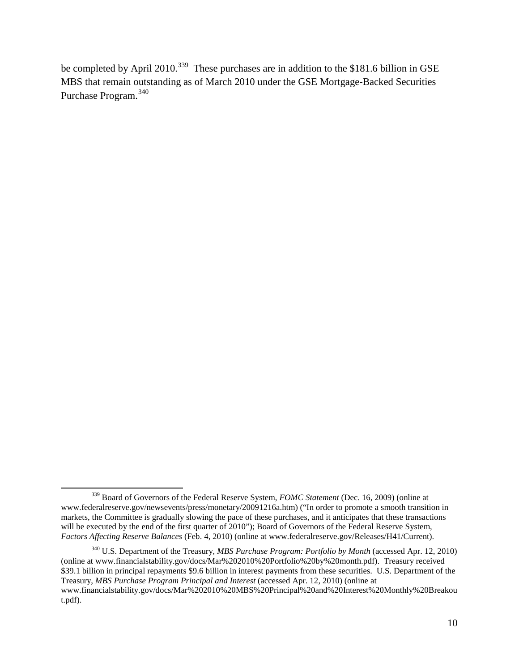be completed by April 2010.<sup>[339](#page-9-0)</sup> These purchases are in addition to the \$181.6 billion in GSE MBS that remain outstanding as of March 2010 under the GSE Mortgage-Backed Securities Purchase Program.<sup>[340](#page-9-1)</sup>

ı

<span id="page-9-0"></span><sup>339</sup> Board of Governors of the Federal Reserve System, *FOMC Statement* (Dec. 16, 2009) (online at www.federalreserve.gov/newsevents/press/monetary/20091216a.htm) ("In order to promote a smooth transition in markets, the Committee is gradually slowing the pace of these purchases, and it anticipates that these transactions will be executed by the end of the first quarter of 2010"); Board of Governors of the Federal Reserve System, *Factors Affecting Reserve Balances* (Feb. 4, 2010) (online at www.federalreserve.gov/Releases/H41/Current).

<span id="page-9-1"></span><sup>340</sup> U.S. Department of the Treasury, *MBS Purchase Program: Portfolio by Month* (accessed Apr. 12, 2010) (online at www.financialstability.gov/docs/Mar%202010%20Portfolio%20by%20month.pdf). Treasury received \$39.1 billion in principal repayments \$9.6 billion in interest payments from these securities. U.S. Department of the Treasury, *MBS Purchase Program Principal and Interest* (accessed Apr. 12, 2010) (online at www.financialstability.gov/docs/Mar%202010%20MBS%20Principal%20and%20Interest%20Monthly%20Breakou t.pdf).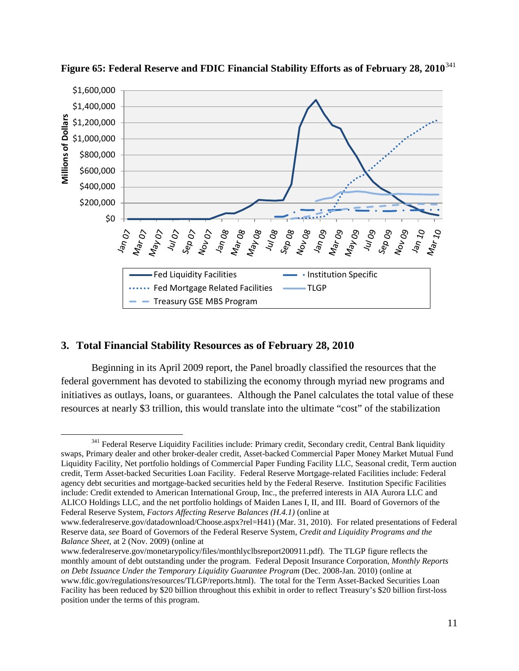

**Figure 65: Federal Reserve and FDIC Financial Stability Efforts as of February 28, 2010**[341](#page-10-0)

## **3. Total Financial Stability Resources as of February 28, 2010**

ı

Beginning in its April 2009 report, the Panel broadly classified the resources that the federal government has devoted to stabilizing the economy through myriad new programs and initiatives as outlays, loans, or guarantees. Although the Panel calculates the total value of these resources at nearly \$3 trillion, this would translate into the ultimate "cost" of the stabilization

<span id="page-10-0"></span><sup>&</sup>lt;sup>341</sup> Federal Reserve Liquidity Facilities include: Primary credit, Secondary credit, Central Bank liquidity swaps, Primary dealer and other broker-dealer credit, Asset-backed Commercial Paper Money Market Mutual Fund Liquidity Facility, Net portfolio holdings of Commercial Paper Funding Facility LLC, Seasonal credit, Term auction credit, Term Asset-backed Securities Loan Facility. Federal Reserve Mortgage-related Facilities include: Federal agency debt securities and mortgage-backed securities held by the Federal Reserve. Institution Specific Facilities include: Credit extended to American International Group, Inc., the preferred interests in AIA Aurora LLC and ALICO Holdings LLC, and the net portfolio holdings of Maiden Lanes I, II, and III. Board of Governors of the Federal Reserve System, *Factors Affecting Reserve Balances (H.4.1)* (online at

www.federalreserve.gov/datadownload/Choose.aspx?rel=H41) (Mar. 31, 2010). For related presentations of Federal Reserve data, *see* Board of Governors of the Federal Reserve System, *Credit and Liquidity Programs and the Balance Sheet*, at 2 (Nov. 2009) (online at

www.federalreserve.gov/monetarypolicy/files/monthlyclbsreport200911.pdf). The TLGP figure reflects the monthly amount of debt outstanding under the program. Federal Deposit Insurance Corporation, *Monthly Reports on Debt Issuance Under the Temporary Liquidity Guarantee Program* (Dec. 2008-Jan. 2010) (online at www.fdic.gov/regulations/resources/TLGP/reports.html). The total for the Term Asset-Backed Securities Loan Facility has been reduced by \$20 billion throughout this exhibit in order to reflect Treasury's \$20 billion first-loss position under the terms of this program.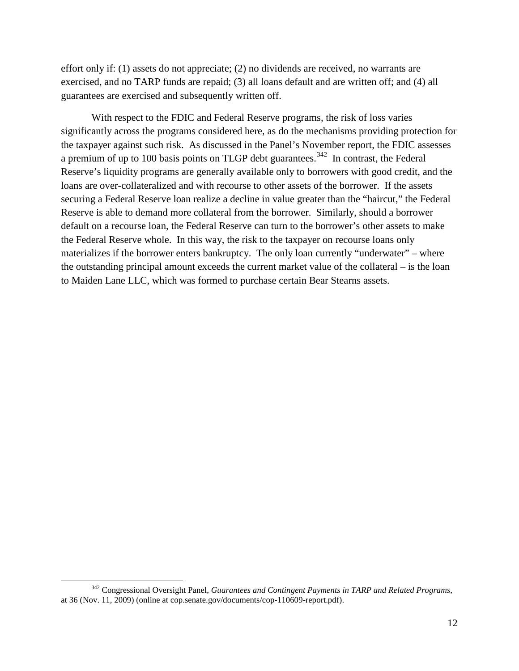effort only if: (1) assets do not appreciate; (2) no dividends are received, no warrants are exercised, and no TARP funds are repaid; (3) all loans default and are written off; and (4) all guarantees are exercised and subsequently written off.

With respect to the FDIC and Federal Reserve programs, the risk of loss varies significantly across the programs considered here, as do the mechanisms providing protection for the taxpayer against such risk. As discussed in the Panel's November report, the FDIC assesses a premium of up to 100 basis points on TLGP debt guarantees.<sup>[342](#page-11-0)</sup> In contrast, the Federal Reserve's liquidity programs are generally available only to borrowers with good credit, and the loans are over-collateralized and with recourse to other assets of the borrower. If the assets securing a Federal Reserve loan realize a decline in value greater than the "haircut," the Federal Reserve is able to demand more collateral from the borrower. Similarly, should a borrower default on a recourse loan, the Federal Reserve can turn to the borrower's other assets to make the Federal Reserve whole. In this way, the risk to the taxpayer on recourse loans only materializes if the borrower enters bankruptcy. The only loan currently "underwater" – where the outstanding principal amount exceeds the current market value of the collateral – is the loan to Maiden Lane LLC, which was formed to purchase certain Bear Stearns assets.

ı

<span id="page-11-0"></span><sup>342</sup> Congressional Oversight Panel, *Guarantees and Contingent Payments in TARP and Related Programs*, at 36 (Nov. 11, 2009) (online at cop.senate.gov/documents/cop-110609-report.pdf).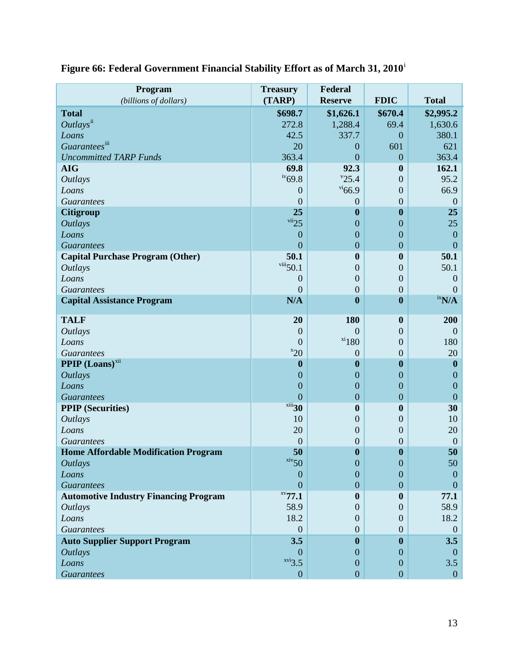| Program                                      | <b>Treasury</b>                    | Federal                          |                                      |                               |
|----------------------------------------------|------------------------------------|----------------------------------|--------------------------------------|-------------------------------|
| (billions of dollars)                        | (TARP)                             | <b>Reserve</b>                   | <b>FDIC</b>                          | <b>Total</b>                  |
| <b>Total</b>                                 | \$698.7                            | \$1,626.1                        | \$670.4                              | \$2,995.2                     |
| $Outlays^{\text{ii}}$                        | 272.8                              | 1,288.4                          | 69.4                                 | 1,630.6                       |
| Loans                                        | 42.5                               | 337.7                            | $\boldsymbol{0}$                     | 380.1                         |
| Guaranteesiii                                | 20                                 | $\boldsymbol{0}$                 | 601                                  | 621                           |
| <b>Uncommitted TARP Funds</b>                | 363.4                              | $\overline{0}$                   | $\overline{0}$                       | 363.4                         |
| <b>AIG</b>                                   | 69.8                               | 92.3                             | $\boldsymbol{0}$                     | 162.1                         |
| <b>Outlays</b>                               | $iv_{69.8}$                        | "25.4"                           | $\overline{0}$                       | 95.2                          |
| Loans                                        | $\overline{0}$                     | $v_{66.9}$                       | $\boldsymbol{0}$                     | 66.9                          |
| <b>Guarantees</b>                            | $\theta$                           | $\boldsymbol{0}$                 | $\overline{0}$                       | $\theta$                      |
| <b>Citigroup</b>                             | 25<br>$\frac{\text{vii}}{25}$      | $\boldsymbol{0}$                 | $\boldsymbol{0}$                     | 25                            |
| <b>Outlays</b>                               |                                    | $\boldsymbol{0}$                 | $\boldsymbol{0}$                     | 25                            |
| Loans                                        | $\boldsymbol{0}$                   | $\boldsymbol{0}$                 | $\boldsymbol{0}$                     | $\boldsymbol{0}$              |
| <b>Guarantees</b>                            | $\overline{0}$<br>50.1             | $\boldsymbol{0}$<br>$\bf{0}$     | $\boldsymbol{0}$<br>$\boldsymbol{0}$ | $\overline{0}$<br>50.1        |
| <b>Capital Purchase Program (Other)</b>      | $viii$ 50.1                        |                                  |                                      |                               |
| <b>Outlays</b><br>Loans                      |                                    | $\overline{0}$<br>$\overline{0}$ | $\overline{0}$<br>$\overline{0}$     | 50.1                          |
|                                              | $\boldsymbol{0}$<br>$\overline{0}$ | $\overline{0}$                   | $\boldsymbol{0}$                     | 0<br>$\Omega$                 |
| <b>Guarantees</b>                            | N/A                                | $\boldsymbol{0}$                 | $\bf{0}$                             | $\boldsymbol{\mathrm{N}}$ N/A |
| <b>Capital Assistance Program</b>            |                                    |                                  |                                      |                               |
| <b>TALF</b>                                  | 20                                 | 180                              | $\boldsymbol{0}$                     | 200                           |
| <b>Outlays</b>                               | $\boldsymbol{0}$                   | $\overline{0}$                   | $\overline{0}$                       | $\overline{0}$                |
| Loans                                        | $\mathbf{0}$                       | $x_i$ 180                        | $\overline{0}$                       | 180                           |
| <b>Guarantees</b>                            | $x_{20}$                           | $\theta$                         | $\overline{0}$                       | 20                            |
| <b>PPIP</b> (Loans) <sup>xii</sup>           | $\boldsymbol{0}$                   | $\boldsymbol{0}$                 | $\boldsymbol{0}$                     | $\boldsymbol{0}$              |
| <b>Outlays</b>                               | $\mathbf{0}$                       | $\boldsymbol{0}$                 | $\boldsymbol{0}$                     | $\overline{0}$                |
| Loans                                        | $\mathbf{0}$                       | $\boldsymbol{0}$                 | $\overline{0}$                       | $\boldsymbol{0}$              |
| <b>Guarantees</b>                            | $\overline{0}$                     | $\boldsymbol{0}$                 | $\boldsymbol{0}$                     | $\boldsymbol{0}$              |
| <b>PPIP</b> (Securities)                     | xiii30                             | $\bf{0}$                         | $\boldsymbol{0}$                     | 30                            |
| <b>Outlays</b>                               | 10                                 | $\overline{0}$                   | $\overline{0}$                       | 10                            |
| Loans                                        | 20                                 | $\boldsymbol{0}$                 | $\boldsymbol{0}$                     | 20                            |
| <b>Guarantees</b>                            | $\mathbf{0}$                       | $\boldsymbol{0}$                 | $\boldsymbol{0}$                     | $\theta$                      |
| <b>Home Affordable Modification Program</b>  | 50                                 | $\bf{0}$                         | $\boldsymbol{0}$                     | 50                            |
| <b>Outlays</b>                               | $\frac{\text{xiv}}{50}$            | $\boldsymbol{0}$                 | $\boldsymbol{0}$                     | 50                            |
| Loans                                        | $\boldsymbol{0}$                   | $\mathbf{0}$                     | $\overline{0}$                       | $\overline{0}$                |
| <b>Guarantees</b>                            | $\Omega$                           | $\overline{0}$                   | $\Omega$                             | $\Omega$                      |
| <b>Automotive Industry Financing Program</b> | $xv$ 77.1                          | $\mathbf{0}$                     | $\bf{0}$                             | 77.1                          |
| <b>Outlays</b>                               | 58.9                               | $\Omega$                         | $\theta$                             | 58.9                          |
| Loans                                        | 18.2                               | $\overline{0}$                   | $\theta$                             | 18.2                          |
| <b>Guarantees</b>                            | $\mathbf{0}$                       | $\overline{0}$                   | $\overline{0}$                       | $\mathbf{0}$                  |
| <b>Auto Supplier Support Program</b>         | 3.5                                | $\bf{0}$                         | $\mathbf{0}$                         | 3.5                           |
| <b>Outlays</b>                               | $\theta$                           | $\Omega$                         | $\Omega$                             | $\theta$                      |
| Loans                                        | xvi3.5                             | $\overline{0}$                   | $\boldsymbol{0}$                     | 3.5                           |
| <b>Guarantees</b>                            | $\boldsymbol{0}$                   | $\boldsymbol{0}$                 | $\boldsymbol{0}$                     | $\boldsymbol{0}$              |

# **Figure 66: Federal Government Financial Stability Effort as of March 31, 2010**[i](#page-13-0)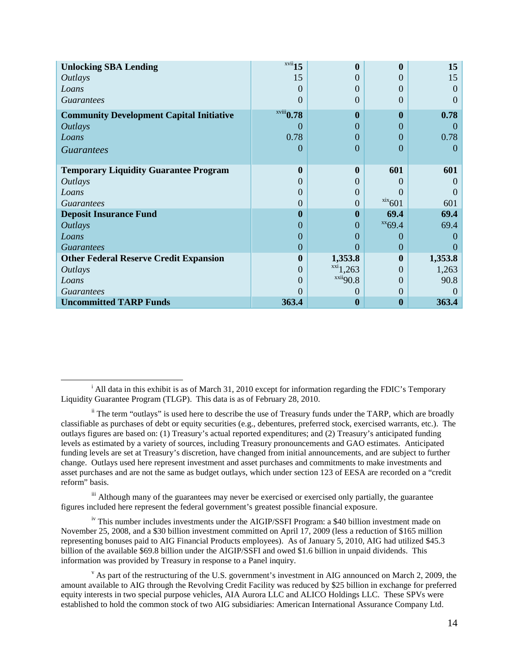| <b>Unlocking SBA Lending</b>                    | $xvii$ 15         | $\mathbf{0}$      | 0                       | 15       |
|-------------------------------------------------|-------------------|-------------------|-------------------------|----------|
| <i>Outlays</i>                                  | 15                |                   |                         | 15       |
| Loans                                           | $\Omega$          |                   | $\mathbf{0}$            | $\Omega$ |
| <b>Guarantees</b>                               | 0                 | $\theta$          | $\theta$                | $\Omega$ |
| <b>Community Development Capital Initiative</b> | $x$ viii $0.78$   | $\mathbf{0}$      | $\bf{0}$                | 0.78     |
| <b>Outlays</b>                                  | $\mathbf{\Omega}$ | $\mathbf{\Omega}$ |                         | $\Omega$ |
| Loans                                           | 0.78              | $\Omega$          | $\Omega$                | 0.78     |
| <b>Guarantees</b>                               | 0                 | $\Omega$          | $\Omega$                | $\theta$ |
|                                                 |                   |                   |                         |          |
| <b>Temporary Liquidity Guarantee Program</b>    | 0                 | $\mathbf{0}$      | 601                     | 601      |
| <i><b>Outlays</b></i>                           |                   |                   |                         | $\theta$ |
| Loans                                           |                   |                   |                         |          |
| <i>Guarantees</i>                               |                   |                   | $\frac{\text{xx}}{601}$ | 601      |
| <b>Deposit Insurance Fund</b>                   | o                 | $\bf{0}$          | 69.4                    | 69.4     |
| <i><b>Outlays</b></i>                           | 0                 | $\theta$          | $XX$ 69.4               | 69.4     |
| Loans                                           | 0                 | $\mathbf{\Omega}$ | $\Omega$                | $\Omega$ |
| <i>Guarantees</i>                               | 0                 | $\mathbf{\Omega}$ | $\Omega$                |          |
| <b>Other Federal Reserve Credit Expansion</b>   | 0                 | 1,353.8           | $\mathbf{0}$            | 1,353.8  |
| <i><b>Outlays</b></i>                           | 0                 | $x_{1,263}$       | $\Omega$                | 1,263    |
| Loans                                           |                   | xxi490.8          | $\Omega$                | 90.8     |
| <i>Guarantees</i>                               |                   | $\mathbf{\Omega}$ | $\Omega$                |          |
| <b>Uncommitted TARP Funds</b>                   | 363.4             | $\bf{0}$          | $\boldsymbol{0}$        | 363.4    |

ı

<span id="page-13-2"></span><sup>iii</sup> Although many of the guarantees may never be exercised or exercised only partially, the guarantee figures included here represent the federal government's greatest possible financial exposure.

<span id="page-13-3"></span>iv This number includes investments under the AIGIP/SSFI Program: a \$40 billion investment made on November 25, 2008, and a \$30 billion investment committed on April 17, 2009 (less a reduction of \$165 million representing bonuses paid to AIG Financial Products employees). As of January 5, 2010, AIG had utilized \$45.3 billion of the available \$69.8 billion under the AIGIP/SSFI and owed \$1.6 billion in unpaid dividends. This information was provided by Treasury in response to a Panel inquiry.

<span id="page-13-0"></span><sup>&</sup>lt;sup>i</sup> All data in this exhibit is as of March 31, 2010 except for information regarding the FDIC's Temporary Liquidity Guarantee Program (TLGP). This data is as of February 28, 2010.

<span id="page-13-1"></span>ii The term "outlays" is used here to describe the use of Treasury funds under the TARP, which are broadly classifiable as purchases of debt or equity securities (e.g., debentures, preferred stock, exercised warrants, etc.). The outlays figures are based on: (1) Treasury's actual reported expenditures; and (2) Treasury's anticipated funding levels as estimated by a variety of sources, including Treasury pronouncements and GAO estimates. Anticipated funding levels are set at Treasury's discretion, have changed from initial announcements, and are subject to further change. Outlays used here represent investment and asset purchases and commitments to make investments and asset purchases and are not the same as budget outlays, which under section 123 of EESA are recorded on a "credit reform" basis.

<span id="page-13-4"></span> $\sigma$  As part of the restructuring of the U.S. government's investment in AIG announced on March 2, 2009, the amount available to AIG through the Revolving Credit Facility was reduced by \$25 billion in exchange for preferred equity interests in two special purpose vehicles, AIA Aurora LLC and ALICO Holdings LLC. These SPVs were established to hold the common stock of two AIG subsidiaries: American International Assurance Company Ltd.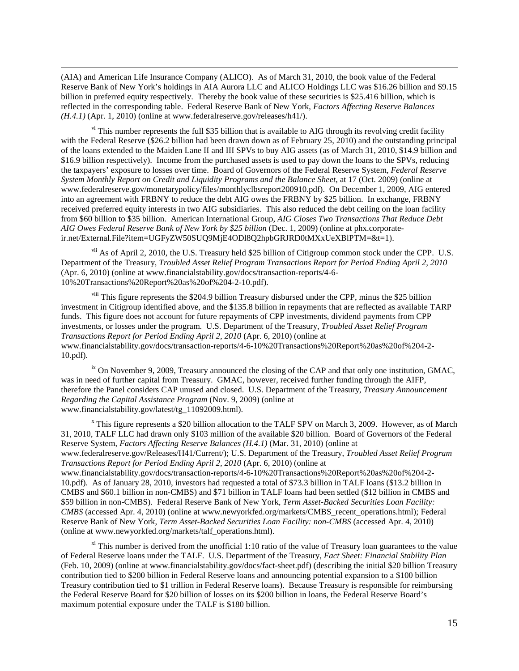(AIA) and American Life Insurance Company (ALICO). As of March 31, 2010, the book value of the Federal Reserve Bank of New York's holdings in AIA Aurora LLC and ALICO Holdings LLC was \$16.26 billion and \$9.15 billion in preferred equity respectively. Thereby the book value of these securities is \$25.416 billion, which is reflected in the corresponding table. Federal Reserve Bank of New York, *Factors Affecting Reserve Balances (H.4.1)* (Apr. 1, 2010) (online at www.federalreserve.gov/releases/h41/).

 $\overline{\phantom{0}}$ 

<span id="page-14-0"></span>v<sup>i</sup> This number represents the full \$35 billion that is available to AIG through its revolving credit facility with the Federal Reserve (\$26.2 billion had been drawn down as of February 25, 2010) and the outstanding principal of the loans extended to the Maiden Lane II and III SPVs to buy AIG assets (as of March 31, 2010, \$14.9 billion and \$16.9 billion respectively). Income from the purchased assets is used to pay down the loans to the SPVs, reducing the taxpayers' exposure to losses over time. Board of Governors of the Federal Reserve System, *Federal Reserve System Monthly Report on Credit and Liquidity Programs and the Balance Sheet*, at 17 (Oct. 2009) (online at www.federalreserve.gov/monetarypolicy/files/monthlyclbsreport200910.pdf). On December 1, 2009, AIG entered into an agreement with FRBNY to reduce the debt AIG owes the FRBNY by \$25 billion. In exchange, FRBNY received preferred equity interests in two AIG subsidiaries. This also reduced the debt ceiling on the loan facility from \$60 billion to \$35 billion. American International Group, *AIG Closes Two Transactions That Reduce Debt AIG Owes Federal Reserve Bank of New York by \$25 billion* (Dec. 1, 2009) (online at phx.corporateir.net/External.File?item=UGFyZW50SUQ9MjE4ODl8Q2hpbGRJRD0tMXxUeXBlPTM=&t=1).

<span id="page-14-1"></span>vii As of April 2, 2010, the U.S. Treasury held \$25 billion of Citigroup common stock under the CPP. U.S. Department of the Treasury, *Troubled Asset Relief Program Transactions Report for Period Ending April 2, 2010* (Apr. 6, 2010) (online at www.financialstability.gov/docs/transaction-reports/4-6- 10%20Transactions%20Report%20as%20of%204-2-10.pdf).

<span id="page-14-2"></span>viii This figure represents the \$204.9 billion Treasury disbursed under the CPP, minus the \$25 billion investment in Citigroup identified above, and the \$135.8 billion in repayments that are reflected as available TARP funds. This figure does not account for future repayments of CPP investments, dividend payments from CPP investments, or losses under the program. U.S. Department of the Treasury, *Troubled Asset Relief Program Transactions Report for Period Ending April 2, 2010* (Apr. 6, 2010) (online at www.financialstability.gov/docs/transaction-reports/4-6-10%20Transactions%20Report%20as%20of%204-2- 10.pdf).

<span id="page-14-3"></span> $\dot{h}$  On November 9, 2009, Treasury announced the closing of the CAP and that only one institution, GMAC, was in need of further capital from Treasury. GMAC, however, received further funding through the AIFP, therefore the Panel considers CAP unused and closed. U.S. Department of the Treasury, *Treasury Announcement Regarding the Capital Assistance Program* (Nov. 9, 2009) (online at www.financialstability.gov/latest/tg\_11092009.html).

<span id="page-14-4"></span><sup>x</sup> This figure represents a \$20 billion allocation to the TALF SPV on March 3, 2009. However, as of March 31, 2010, TALF LLC had drawn only \$103 million of the available \$20 billion. Board of Governors of the Federal Reserve System, *Factors Affecting Reserve Balances (H.4.1)* (Mar. 31, 2010) (online at www.federalreserve.gov/Releases/H41/Current/); U.S. Department of the Treasury, *Troubled Asset Relief Program Transactions Report for Period Ending April 2, 2010* (Apr. 6, 2010) (online at www.financialstability.gov/docs/transaction-reports/4-6-10%20Transactions%20Report%20as%20of%204-2- 10.pdf). As of January 28, 2010, investors had requested a total of \$73.3 billion in TALF loans (\$13.2 billion in CMBS and \$60.1 billion in non-CMBS) and \$71 billion in TALF loans had been settled (\$12 billion in CMBS and \$59 billion in non-CMBS). Federal Reserve Bank of New York, *Term Asset-Backed Securities Loan Facility: CMBS* (accessed Apr. 4, 2010) (online at www.newyorkfed.org/markets/CMBS\_recent\_operations.html); Federal Reserve Bank of New York, *Term Asset-Backed Securities Loan Facility: non-CMBS* (accessed Apr. 4, 2010) (online at www.newyorkfed.org/markets/talf\_operations.html).

<span id="page-14-5"></span> $\frac{x_i}{x_i}$  This number is derived from the unofficial 1:10 ratio of the value of Treasury loan guarantees to the value of Federal Reserve loans under the TALF. U.S. Department of the Treasury, *Fact Sheet: Financial Stability Plan* (Feb. 10, 2009) (online at www.financialstability.gov/docs/fact-sheet.pdf) (describing the initial \$20 billion Treasury contribution tied to \$200 billion in Federal Reserve loans and announcing potential expansion to a \$100 billion Treasury contribution tied to \$1 trillion in Federal Reserve loans). Because Treasury is responsible for reimbursing the Federal Reserve Board for \$20 billion of losses on its \$200 billion in loans, the Federal Reserve Board's maximum potential exposure under the TALF is \$180 billion.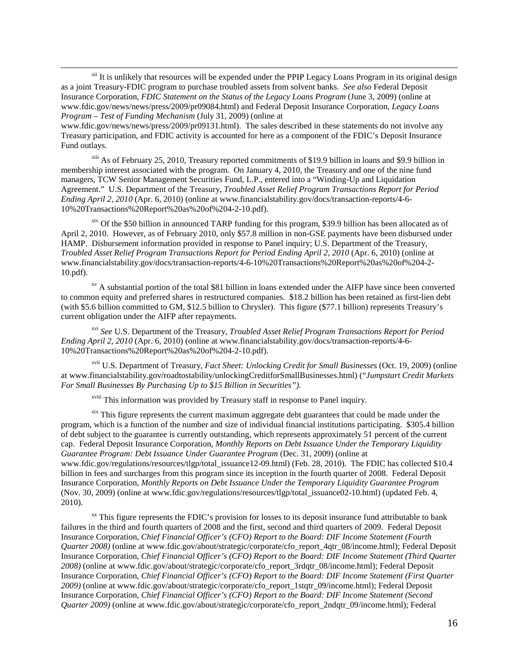<span id="page-15-0"></span><sup>xii</sup> It is unlikely that resources will be expended under the PPIP Legacy Loans Program in its original design as a joint Treasury-FDIC program to purchase troubled assets from solvent banks. *See also* Federal Deposit Insurance Corporation*, FDIC Statement on the Status of the Legacy Loans Program* (June 3, 2009) (online at www.fdic.gov/news/news/press/2009/pr09084.html) and Federal Deposit Insurance Corporation, *Legacy Loans Program – Test of Funding Mechanism* (July 31, 2009) (online at

 $\overline{\phantom{0}}$ 

www.fdic.gov/news/news/press/2009/pr09131.html). The sales described in these statements do not involve any Treasury participation, and FDIC activity is accounted for here as a component of the FDIC's Deposit Insurance Fund outlays.

<span id="page-15-1"></span>xiii As of February 25, 2010, Treasury reported commitments of \$19.9 billion in loans and \$9.9 billion in membership interest associated with the program. On January 4, 2010, the Treasury and one of the nine fund managers, TCW Senior Management Securities Fund, L.P., entered into a "Winding-Up and Liquidation Agreement." U.S. Department of the Treasury, *Troubled Asset Relief Program Transactions Report for Period Ending April 2, 2010* (Apr. 6, 2010) (online at www.financialstability.gov/docs/transaction-reports/4-6- 10%20Transactions%20Report%20as%20of%204-2-10.pdf).

<span id="page-15-2"></span> $\frac{x}{y}$  Of the \$50 billion in announced TARP funding for this program, \$39.9 billion has been allocated as of April 2, 2010. However, as of February 2010, only \$57.8 million in non-GSE payments have been disbursed under HAMP. Disbursement information provided in response to Panel inquiry; U.S. Department of the Treasury, *Troubled Asset Relief Program Transactions Report for Period Ending April 2, 2010* (Apr. 6, 2010) (online at www.financialstability.gov/docs/transaction-reports/4-6-10%20Transactions%20Report%20as%20of%204-2- 10.pdf).

<span id="page-15-3"></span> $\frac{xy}{x}$  A substantial portion of the total \$81 billion in loans extended under the AIFP have since been converted to common equity and preferred shares in restructured companies. \$18.2 billion has been retained as first-lien debt (with \$5.6 billion committed to GM, \$12.5 billion to Chrysler). This figure (\$77.1 billion) represents Treasury's current obligation under the AIFP after repayments.

<span id="page-15-4"></span>xvi *See* U.S. Department of the Treasury, *Troubled Asset Relief Program Transactions Report for Period Ending April 2, 2010* (Apr. 6, 2010) (online at www.financialstability.gov/docs/transaction-reports/4-6- 10%20Transactions%20Report%20as%20of%204-2-10.pdf).

<span id="page-15-5"></span>xvii U.S. Department of Treasury, *Fact Sheet: Unlocking Credit for Small Businesses* (Oct. 19, 2009) (online at www.financialstability.gov/roadtostability/unlockingCreditforSmallBusinesses.html) ("*Jumpstart Credit Markets For Small Businesses By Purchasing Up to \$15 Billion in Securities").*

xviii This information was provided by Treasury staff in response to Panel inquiry.

<span id="page-15-7"></span><span id="page-15-6"></span>xix This figure represents the current maximum aggregate debt guarantees that could be made under the program, which is a function of the number and size of individual financial institutions participating. \$305.4 billion of debt subject to the guarantee is currently outstanding, which represents approximately 51 percent of the current cap. Federal Deposit Insurance Corporation, *Monthly Reports on Debt Issuance Under the Temporary Liquidity Guarantee Program: Debt Issuance Under Guarantee Program* (Dec. 31, 2009) (online at www.fdic.gov/regulations/resources/tlgp/total\_issuance12-09.html) (Feb. 28, 2010). The FDIC has collected \$10.4 billion in fees and surcharges from this program since its inception in the fourth quarter of 2008. Federal Deposit Insurance Corporation, *Monthly Reports on Debt Issuance Under the Temporary Liquidity Guarantee Program*  (Nov. 30, 2009) (online at www.fdic.gov/regulations/resources/tlgp/total\_issuance02-10.html) (updated Feb. 4, 2010).

<span id="page-15-8"></span> $\frac{1}{x}$  This figure represents the FDIC's provision for losses to its deposit insurance fund attributable to bank failures in the third and fourth quarters of 2008 and the first, second and third quarters of 2009. Federal Deposit Insurance Corporation, *Chief Financial Officer's (CFO) Report to the Board: DIF Income Statement (Fourth Quarter 2008*) (online at www.fdic.gov/about/strategic/corporate/cfo\_report\_4qtr\_08/income.html); Federal Deposit Insurance Corporation, *Chief Financial Officer's (CFO) Report to the Board: DIF Income Statement (Third Quarter 2008)* (online at www.fdic.gov/about/strategic/corporate/cfo\_report\_3rdqtr\_08/income.html); Federal Deposit Insurance Corporation, *Chief Financial Officer's (CFO) Report to the Board: DIF Income Statement (First Quarter 2009)* (online at www.fdic.gov/about/strategic/corporate/cfo\_report\_1stqtr\_09/income.html); Federal Deposit Insurance Corporation, *Chief Financial Officer's (CFO) Report to the Board: DIF Income Statement (Second Quarter 2009)* (online at www.fdic.gov/about/strategic/corporate/cfo\_report\_2ndqtr\_09/income.html); Federal